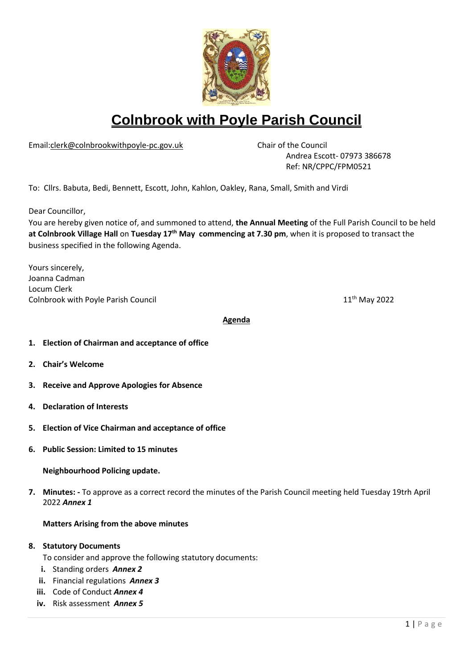

# **Colnbrook with Poyle Parish Council**

Email[:clerk@colnbrookwithpoyle-pc.gov.uk](mailto:clerk@colnbrookwithpoyle-pc.gov.uk) Chair of the Council

Andrea Escott- 07973 386678 Ref: NR/CPPC/FPM0521

To: Cllrs. Babuta, Bedi, Bennett, Escott, John, Kahlon, Oakley, Rana, Small, Smith and Virdi

Dear Councillor,

You are hereby given notice of, and summoned to attend, **the Annual Meeting** of the Full Parish Council to be held at Colnbrook Village Hall on Tuesday 17<sup>th</sup> May commencing at 7.30 pm, when it is proposed to transact the business specified in the following Agenda.

Yours sincerely, Joanna Cadman Locum Clerk Colnbrook with Poyle Parish Council

11<sup>th</sup> May 2022

#### **Agenda**

- **1. Election of Chairman and acceptance of office**
- **2. Chair's Welcome**
- **3. Receive and Approve Apologies for Absence**
- **4. Declaration of Interests**
- **5. Election of Vice Chairman and acceptance of office**
- **6. Public Session: Limited to 15 minutes**

**Neighbourhood Policing update.**

**7. Minutes: -** To approve as a correct record the minutes of the Parish Council meeting held Tuesday 19trh April 2022 *Annex 1*

#### **Matters Arising from the above minutes**

#### **8. Statutory Documents**

To consider and approve the following statutory documents:

- **i.** Standing orders *Annex 2*
- **ii.** Financial regulations *Annex 3*
- **iii.** Code of Conduct *Annex 4*
- **iv.** Risk assessment *Annex 5*